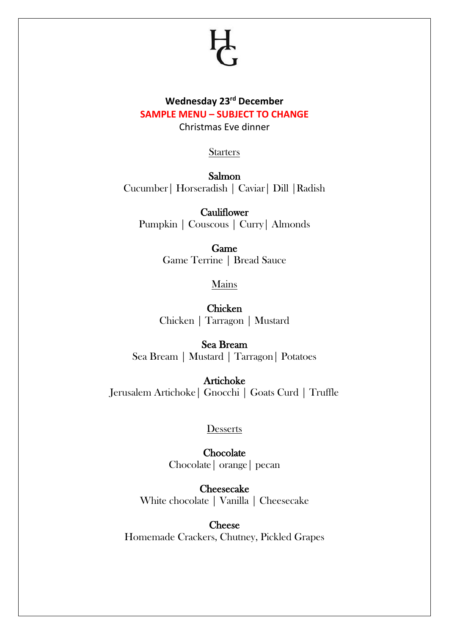# **Wednesday 23rd December SAMPLE MENU – SUBJECT TO CHANGE**

Christmas Eve dinner

**Starters** 

Salmon Cucumber| Horseradish | Caviar| Dill |Radish

**Cauliflower** Pumpkin | Couscous | Curry| Almonds

> Game Game Terrine | Bread Sauce

> > Mains

Chicken Chicken | Tarragon | Mustard

Sea Bream Sea Bream | Mustard | Tarragon| Potatoes

Artichoke Jerusalem Artichoke| Gnocchi | Goats Curd | Truffle

**Desserts** 

**Chocolate** Chocolate| orange| pecan

Cheesecake White chocolate | Vanilla | Cheesecake

**Cheese** Homemade Crackers, Chutney, Pickled Grapes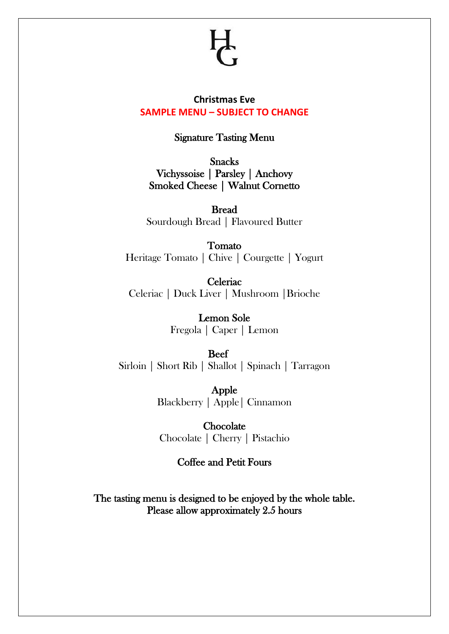### **Christmas Eve SAMPLE MENU – SUBJECT TO CHANGE**

## Signature Tasting Menu

Snacks Vichyssoise | Parsley | Anchovy Smoked Cheese | Walnut Cornetto

Bread Sourdough Bread | Flavoured Butter

Tomato Heritage Tomato | Chive | Courgette | Yogurt

**Celeriac** Celeriac | Duck Liver | Mushroom |Brioche

> Lemon Sole Fregola | Caper | Lemon

 Beef Sirloin | Short Rib | Shallot | Spinach | Tarragon

> Apple Blackberry | Apple| Cinnamon

**Chocolate** Chocolate | Cherry | Pistachio

## Coffee and Petit Fours

The tasting menu is designed to be enjoyed by the whole table. Please allow approximately 2.5 hours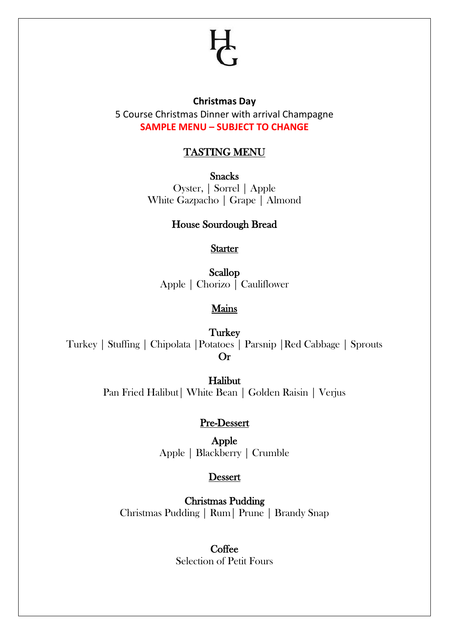#### **Christmas Day**

5 Course Christmas Dinner with arrival Champagne **SAMPLE MENU – SUBJECT TO CHANGE**

# TASTING MENU

**Snacks** Oyster, | Sorrel | Apple White Gazpacho | Grape | Almond

## House Sourdough Bread

**Starter** 

Scallop Apple | Chorizo | Cauliflower

## Mains

**Turkey** Turkey | Stuffing | Chipolata |Potatoes | Parsnip |Red Cabbage | Sprouts Or

> Halibut Pan Fried Halibut| White Bean | Golden Raisin | Verjus

# Pre-Dessert

Apple Apple | Blackberry | Crumble

## Dessert

Christmas Pudding Christmas Pudding | Rum| Prune | Brandy Snap

# **Coffee**

Selection of Petit Fours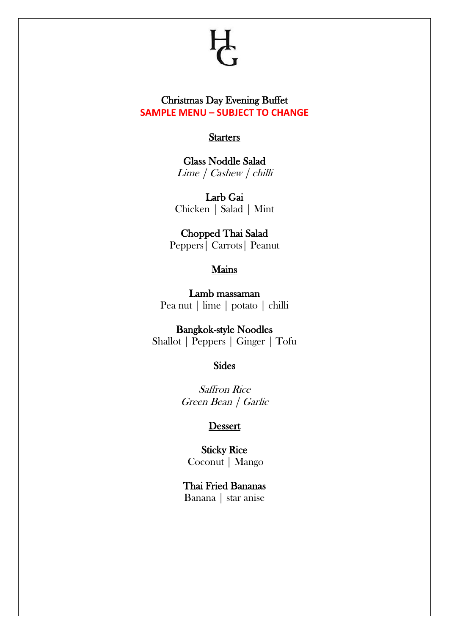## Christmas Day Evening Buffet **SAMPLE MENU – SUBJECT TO CHANGE**

#### **Starters**

Glass Noddle Salad Lime | Cashew | chilli

Larb Gai Chicken | Salad | Mint

Chopped Thai Salad Peppers| Carrots| Peanut

### Mains

Lamb massaman Pea nut | lime | potato | chilli

Bangkok-style Noodles Shallot | Peppers | Ginger | Tofu

Sides

Saffron Rice Green Bean | Garlic

#### Dessert

Sticky Rice Coconut | Mango

Thai Fried Bananas Banana | star anise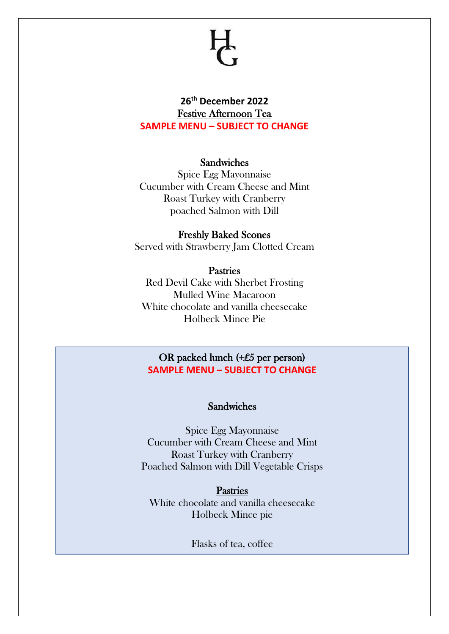# **26th December 2022** Festive Afternoon Tea **SAMPLE MENU – SUBJECT TO CHANGE**

### Sandwiches

Spice Egg Mayonnaise Cucumber with Cream Cheese and Mint Roast Turkey with Cranberry poached Salmon with Dill

### Freshly Baked Scones Served with Strawberry Jam Clotted Cream

### Pastries

Red Devil Cake with Sherbet Frosting Mulled Wine Macaroon White chocolate and vanilla cheesecake Holbeck Mince Pie

# OR packed lunch (+£5 per person) **SAMPLE MENU – SUBJECT TO CHANGE**

### Sandwiches

Spice Egg Mayonnaise Cucumber with Cream Cheese and Mint Roast Turkey with Cranberry Poached Salmon with Dill Vegetable Crisps

**Pastries** White chocolate and vanilla cheesecake Holbeck Mince pie

Flasks of tea, coffee